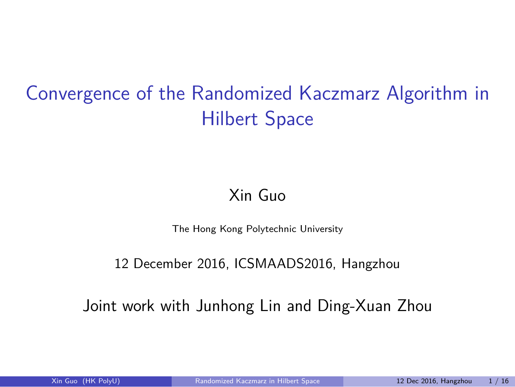# Convergence of the Randomized Kaczmarz Algorithm in Hilbert Space

Xin Guo

The Hong Kong Polytechnic University

12 December 2016, ICSMAADS2016, Hangzhou

Joint work with Junhong Lin and Ding-Xuan Zhou

12 Dec 2016, Hangzhou  $1/16$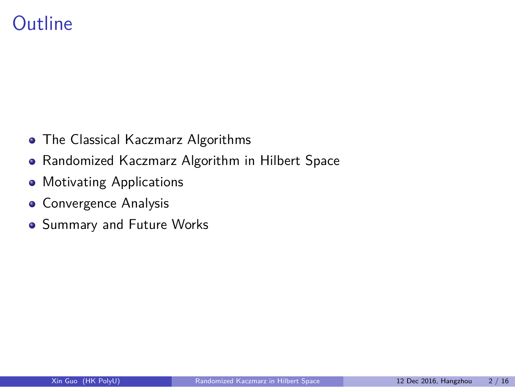#### **Outline**

- The Classical Kaczmarz Algorithms
- Randomized Kaczmarz Algorithm in Hilbert Space

Xin Guo (HK PolyU) Randomized Kaczmarz in Hilbert Space 12 Dec 2016, Hangzhou 2 / 16

- **Motivating Applications**
- **·** Convergence Analysis
- **•** Summary and Future Works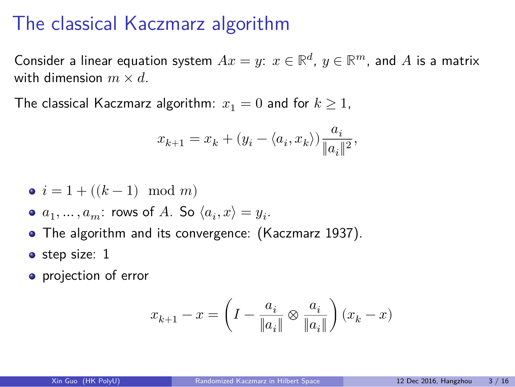# The classical Kaczmarz algorithm

Consider a linear equation system  $Ax = y$ :  $x \in \mathbb{R}^d$ ,  $y \in \mathbb{R}^m$ , and  $A$  is a matrix with dimension  $m \times d$ .

The classical Kaczmarz algorithm:  $x_1 = 0$  and for  $k \ge 1$ ,

$$
x_{k+1} = x_k + (y_i - \langle a_i, x_k \rangle) \frac{a_i}{\|a_i\|^2}
$$

,

- $i = 1 + ((k 1) \mod m)$
- $a_1, \ldots, a_m$ : rows of  $A$ . So  $\langle a_i, x \rangle = y_i$ .
- The algorithm and its convergence: (Kaczmarz 1937).
- step size: 1
- projection of error

$$
x_{k+1}-x=\left(I-\frac{a_i}{\|a_i\|}\otimes\frac{a_i}{\|a_i\|}\right)(x_k-x)
$$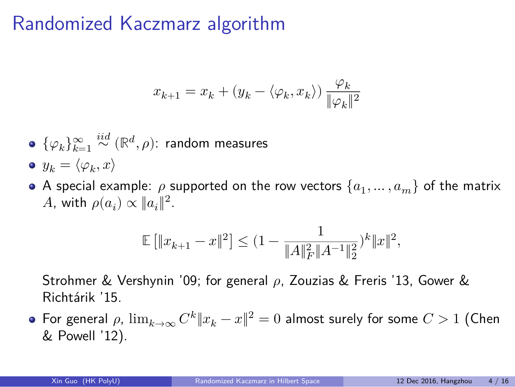# Randomized Kaczmarz algorithm

$$
x_{k+1} = x_k + (y_k - \langle \varphi_k, x_k \rangle) \, \frac{\varphi_k}{\|\varphi_k\|^2}
$$

- $\{\varphi_k\}_{k=1}^\infty\overset{iid}{\sim}({\mathbb R}^d,\rho)$ : random measures
- $y_k = \langle \varphi_k, x \rangle$
- A special example:  $\rho$  supported on the row vectors  $\{a_1,\ldots,a_m\}$  of the matrix A, with  $\rho(a_i) \propto \|a_i\|^2$ .

$$
\mathbb{E}\left[\|x_{k+1}-x\|^2\right]\leq (1-\frac{1}{\|A\|_F^2\|A^{-1}\|_2^2})^k\|x\|^2,
$$

Strohmer & Vershynin '09; for general  $\rho$ , Zouzias & Freris '13, Gower & Richtárik '15.

For general  $\rho$ ,  $\lim_{k\to\infty} C^k\|x_k-x\|^2=0$  almost surely for some  $C>1$  (Chen & Powell '12).

 $12$  Dec 2016, Hangzhou  $4 / 16$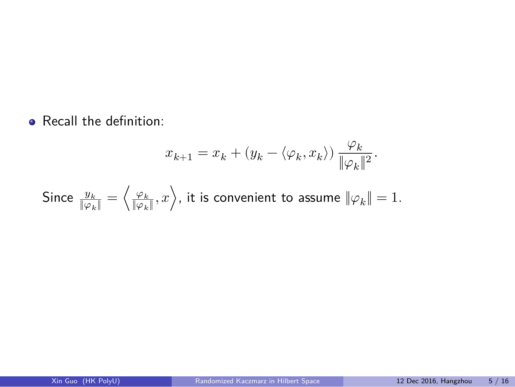• Recall the definition:

$$
x_{k+1} = x_k + (y_k - \langle \varphi_k, x_k \rangle) \frac{\varphi_k}{\|\varphi_k\|^2}.
$$

Xin Guo (HK PolyU) Randomized Kaczmarz in Hilbert Space 12 Dec 2016, Hangzhou 5 / 16

Since  $\frac{y_k}{\|\varphi_k\|}=\left\langle\frac{\varphi_k}{\|\varphi_k\|},x\right\rangle$ , it is convenient to assume  $\|\varphi_k\|=1.$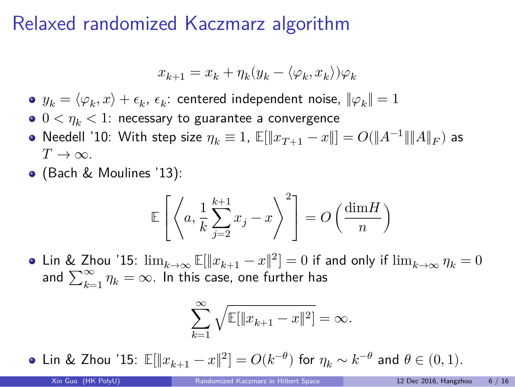# Relaxed randomized Kaczmarz algorithm

$$
x_{k+1} = x_k + \eta_k(y_k - \langle \varphi_k, x_k \rangle) \varphi_k
$$

- $y_k = \langle \varphi_k, x \rangle + \epsilon_k$ ,  $\epsilon_k$ : centered independent noise,  $\|\varphi_k\| = 1$
- $0 < \eta_k < 1$ : necessary to guarantee a convergence
- Needell '10: With step size  $\eta_k \equiv 1$ ,  $\mathbb{E}[\|x_{T+1} x\|] = O(\|A^{-1}\|\|A\|_F)$  as  $T\rightarrow\infty$ .
- (Bach & Moulines '13):

$$
\mathbb{E}\left[\left\langle a, \frac{1}{k} \sum_{j=2}^{k+1} x_j - x \right\rangle^2\right] = O\left(\frac{\dim H}{n}\right)
$$

Lin & Zhou '15:  $\lim_{k\to\infty}\mathbb{E}[\|x_{k+1}-x\|^2]=0$  if and only if  $\lim_{k\to\infty}\eta_k=0$ and  $\sum_{k=1}^{\infty} \eta_k = \infty$ . In this case, one further has

$$
\sum_{k=1}^{\infty} \sqrt{\mathbb{E}[\|x_{k+1} - x\|^2]} = \infty.
$$

Lin & Zhou '15:  $\mathbb{E}[\|x_{k+1}-x\|^2]=O(k^{-\theta})$  for  $\eta_k \sim k^{-\theta}$  and  $\theta \in (0,1)$ .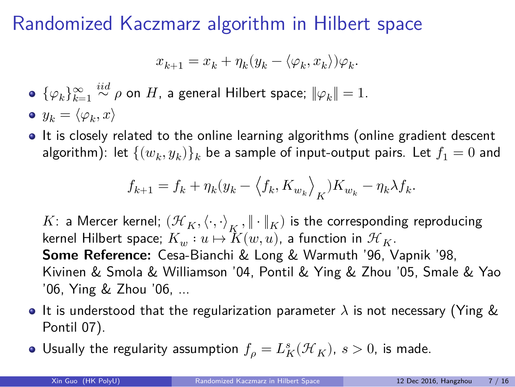#### Randomized Kaczmarz algorithm in Hilbert space

$$
x_{k+1} = x_k + \eta_k (y_k - \langle \varphi_k, x_k \rangle) \varphi_k.
$$

- $\{\varphi_k\}_{k=1}^\infty$  $\stackrel{iid}{\sim} \rho$  on  $H$ , a general Hilbert space;  $\|\varphi_{k}\|=1.$
- $y_k = \langle \varphi_k, x \rangle$
- $\bullet$  It is closely related to the online learning algorithms (online gradient descent algorithm): let  $\{(w_k, y_k)\}_k$  be a sample of input-output pairs. Let  $f_1=0$  and

$$
f_{k+1} = f_k + \eta_k (y_k - \langle f_k, K_{w_k} \rangle_K) K_{w_k} - \eta_k \lambda f_k.
$$

K: a Mercer kernel;  $(\mathcal{H}_K, \langle \cdot, \cdot \rangle_K, \|\cdot\|_K)$  is the corresponding reproducing kernel Hilbert space;  $K_w: u \mapsto \overline{K}(w, u)$ , a function in  ${\mathcal H}_K.$ **Some Reference:** Cesa-Bianchi & Long & Warmuth '96, Vapnik '98, Kivinen & Smola & Williamson '04, Pontil & Ying & Zhou '05, Smale & Yao '06, Ying & Zhou '06, ...

- It is understood that the regularization parameter  $\lambda$  is not necessary (Ying & Pontil 07).
- Usually the regularity assumption  $f_{\rho}=L_{K}^{s}(\mathcal{H}_{K}),\,s>0,$  is made.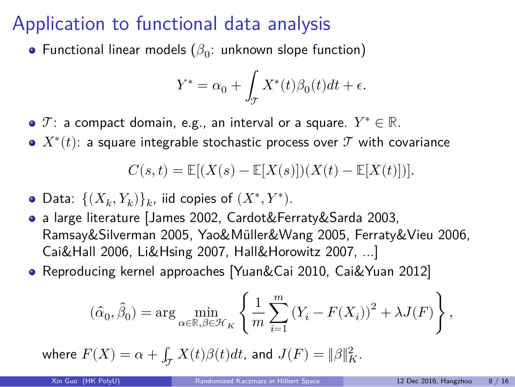# Application to functional data analysis

Functional linear models  $(\beta_0:$  unknown slope function)

$$
Y^*=\alpha_0+\int_{\mathcal{T}}X^*(t)\beta_0(t)dt+\epsilon.
$$

- $\mathcal{T}$ : a compact domain, e.g., an interval or a square.  $Y^*\in\mathbb{R}.$
- $X^*(t)$ : a square integrable stochastic process over  ${\mathcal T}$  with covariance

$$
C(s,t) = \mathbb{E}[(X(s) - \mathbb{E}[X(s)])(X(t) - \mathbb{E}[X(t)])].
$$

- Data:  $\{(X_k,Y_k)\}_k$ , iid copies of  $(X^*,Y^*)$ .
- a large literature [James 2002, Cardot&Ferraty&Sarda 2003, Ramsay&Silverman 2005, Yao&Müller&Wang 2005, Ferraty&Vieu 2006, Cai&Hall 2006, Li&Hsing 2007, Hall&Horowitz 2007, ...]
- Reproducing kernel approaches [Yuan&Cai 2010, Cai&Yuan 2012]

$$
(\hat{\alpha}_0, \hat{\beta}_0) = \arg \min_{\alpha \in \mathbb{R}, \beta \in \mathcal{H}_K} \left\{ \frac{1}{m} \sum_{i=1}^m (Y_i - F(X_i))^2 + \lambda J(F) \right\},\,
$$

where  $F(X) = \alpha + \int_{\mathcal{T}} X(t) \beta(t) dt$ , and  $J(F) = \|\beta\|_K^2$ .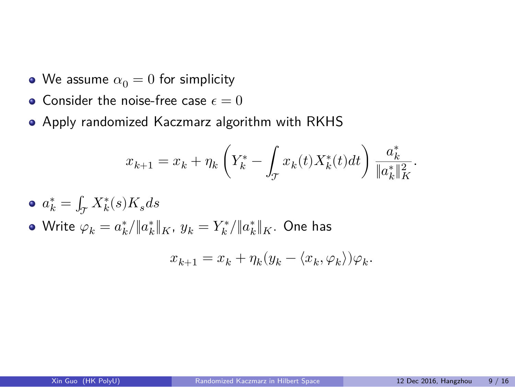- We assume  $\alpha_0 = 0$  for simplicity
- $\bullet$  Consider the noise-free case  $\epsilon = 0$
- Apply randomized Kaczmarz algorithm with RKHS

$$
x_{k+1} = x_k + \eta_k \left( Y_k^* - \int_{\mathcal{T}} x_k(t) X_k^*(t) dt \right) \frac{a_k^*}{\|a_k^*\|_K^2}.
$$

- $a_k^* = \int_{\mathcal{T}} X_k^*(s) K_s ds$
- Write  $\varphi_k=a^*_k/\|a^*_k\|_K$ ,  $y_k=Y^*_k/\|a^*_k\|_K$ . One has

$$
x_{k+1} = x_k + \eta_k (y_k - \langle x_k, \varphi_k \rangle) \varphi_k.
$$

Xin Guo (HK PolyU) Randomized Kaczmarz in Hilbert Space 12 Dec 2016, Hangzhou 9 / 16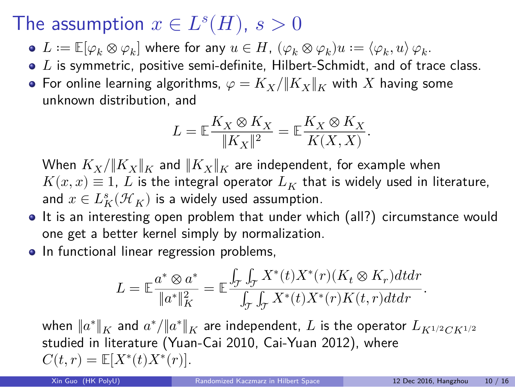#### The assumption  $x \in L^{s}(H)$ ,  $s > 0$

- $L:=\mathbb{E}[\varphi_k\otimes\varphi_k]$  where for any  $u\in H$ ,  $(\varphi_k\otimes\varphi_k)u:=\langle\varphi_k,u\rangle\,\varphi_k.$
- $\bullet$  L is symmetric, positive semi-definite, Hilbert-Schmidt, and of trace class.
- For online learning algorithms,  $\varphi = K_X / ||K_X||_K$  with  $X$  having some unknown distribution, and

$$
L=\mathbb{E} \frac{K_X \otimes K_X}{\|K_X\|^2}=\mathbb{E} \frac{K_X \otimes K_X}{K(X,X)}.
$$

When  $K_X/\|K_X\|_K$  and  $\|K_X\|_K$  are independent, for example when  $K(x, x) \equiv 1$ ,  $L$  is the integral operator  $L_K$  that is widely used in literature, and  $x\in L_K^s(\mathcal{H}_K)$  is a widely used assumption.

- It is an interesting open problem that under which (all?) circumstance would one get a better kernel simply by normalization.
- In functional linear regression problems,

$$
L=\mathbb{E}\frac{a^*\otimes a^*}{\|a^*\|_K^2}=\mathbb{E}\frac{\int_{\mathcal{T}}\int_{\mathcal{T}}X^*(t)X^*(r)(K_t\otimes K_r)dtdr}{\int_{\mathcal{T}}\int_{\mathcal{T}}X^*(t)X^*(r)K(t,r)dtdr}.
$$

when  $\|a^*\|_K$  and  $a^*/\|a^*\|_K$  are independent,  $L$  is the operator  $L_{K^{1/2}CK^{1/2}}$ studied in literature (Yuan-Cai 2010, Cai-Yuan 2012), where  $C(t, r) = \mathbb{E}[X^*(t)X^*(r)].$ 

Xin Guo (HK PolyU) Randomized Kaczmarz in Hilbert Space 12 Dec 2016, Hangzhou 10 / 16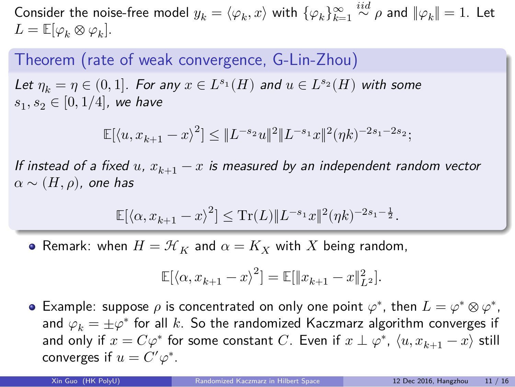Consider the noise-free model  $y_k = \langle \varphi_k, x \rangle$  with  $\{ \varphi_k \}_{k=1}^{\infty}$  $\stackrel{iid}{\sim}\rho$  and  $\|\varphi_k\|=1.$  Let  $L = \mathbb{E}[\varphi_k \otimes \varphi_k].$ 

Theorem (rate of weak convergence, G-Lin-Zhou)

Let  $\eta_k = \eta \in (0,1]$ *. For any*  $x \in L^{s_1}(H)$  and  $u \in L^{s_2}(H)$  with some  $s_1, s_2 \in [0, 1/4]$ , we have

$$
\mathbb{E}[\langle u, x_{k+1}-x \rangle^2] \leq \|L^{-s_2}u\|^2 \|L^{-s_1}x\|^2 (\eta k)^{-2s_1-2s_2};
$$

*If instead of a fixed*  $u$ ,  $x_{k+1} - x$  *is measured by an independent random vector*  $\alpha \sim (H, \rho)$ , one has

 $\mathbb{E}[\langle \alpha, x_{k+1}-x \rangle^2] \leq \mathrm{Tr}(L) \| L^{-s_1} x\|^2 (\eta k)^{-2s_1-\frac{1}{2}}.$ 

• Remark: when  $H = \mathcal{H}_K$  and  $\alpha = K_X$  with  $X$  being random,

$$
\mathbb{E}[\langle \alpha, x_{k+1}-x\rangle^2]=\mathbb{E}[\|x_{k+1}-x\|_{L^2}^2].
$$

Example: suppose  $\rho$  is concentrated on only one point  $\varphi^*$ , then  $L = \varphi^* \otimes \varphi^*$ , and  $\varphi_k = \pm \varphi^*$  for all  $k.$  So the randomized Kaczmarz algorithm converges if and only if  $x = C\varphi^*$  for some constant  $C$ . Even if  $x \perp \varphi^*$ ,  $\langle u, x_{k+1} - x \rangle$  still converges if  $u = C' \varphi^*$ .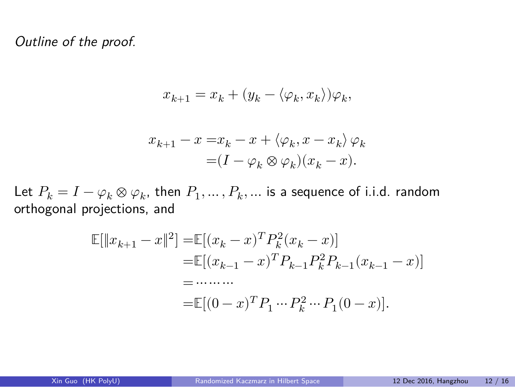*Outline of the proof.*

$$
x_{k+1} = x_k + (y_k - \langle \varphi_k, x_k \rangle) \varphi_k,
$$

$$
\begin{split} x_{k+1}-x=&x_k-x+\langle\varphi_k,x-x_k\rangle\,\varphi_k\\ =&(I-\varphi_k\otimes\varphi_k)(x_k-x). \end{split}
$$

Let  $P_k = I - \varphi_k \otimes \varphi_k$ , then  $P_1, \ldots, P_k, \ldots$  is a sequence of i.i.d. random orthogonal projections, and

$$
\mathbb{E}[\|x_{k+1} - x\|^2] = \mathbb{E}[(x_k - x)^T P_k^2 (x_k - x)]
$$
  
\n
$$
= \mathbb{E}[(x_{k-1} - x)^T P_{k-1} P_k^2 P_{k-1} (x_{k-1} - x)]
$$
  
\n
$$
= \cdots \cdots
$$
  
\n
$$
= \mathbb{E}[(0 - x)^T P_1 \cdots P_k^2 \cdots P_1 (0 - x)].
$$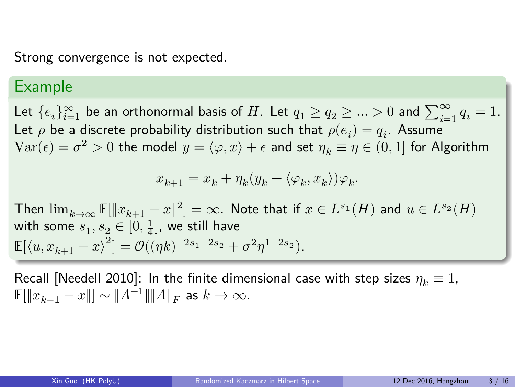Strong convergence is not expected.

#### Example

Let  ${e_i}_{i=1}^{\infty}$  be an orthonormal basis of  $H$ . Let  $q_1 \geq q_2 \geq ... > 0$  and  $\sum_{i=1}^{\infty} q_i = 1$ . Let  $\rho$  be a discrete probability distribution such that  $\rho(e_i) = q_i.$  Assume  $\text{Var}(\epsilon) = \sigma^2 > 0$  the model  $y = \langle \varphi, x \rangle + \epsilon$  and set  $\eta_k \equiv \eta \in (0,1]$  for Algorithm

$$
x_{k+1} = x_k + \eta_k(y_k - \langle \varphi_k, x_k \rangle) \varphi_k.
$$

Then  $\lim_{k\to\infty}\mathbb{E}[\|x_{k+1}-x\|^2]=\infty$ . Note that if  $x\in L^{s_1}(H)$  and  $u\in L^{s_2}(H)$ with some  $s_1, s_2 \in [0, \frac{1}{4}]$ , we still have  $\mathbb{E}[\langle u, x_{k+1}-x \rangle^2] = \mathcal{O}((\eta k)^{-2s_1-2s_2} + \sigma^2 \eta^{1-2s_2}).$ 

Recall [Needell 2010]: In the finite dimensional case with step sizes  $\eta_k \equiv 1$ ,  $\mathbb{E}[\lVert x_{k+1} - x \rVert] \sim \lVert A^{-1} \rVert \lVert A \rVert_F$  as  $k \to \infty.$ 

12 Dec 2016, Hangzhou 13 / 16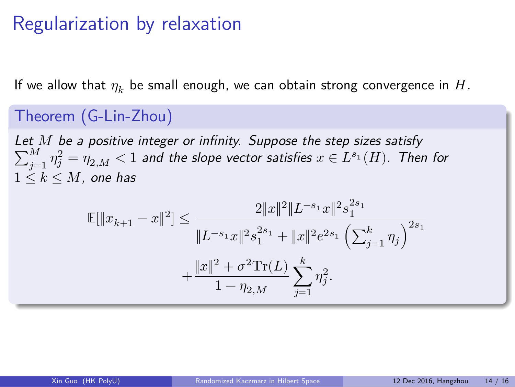# Regularization by relaxation

If we allow that  $\eta_k$  be small enough, we can obtain strong convergence in  $H$ .

Theorem (G-Lin-Zhou) Let M be a positive integer or infinity. Suppose the step sizes satisfy  $\sum_{j=1}^M \eta_j^2 = \eta_{2,M} < 1$  and the slope vector satisfies  $x \in L^{s_1}(H)$ . Then for  $1 \leq k \leq M$  , one has  $|\leq \frac{2||x||^2}{2}$  $||L^{-s_1}x||^2s_1^{2s_1}$ 1

$$
\mathbb{E}[\|x_{k+1} - x\|^2] \le \frac{2\|x\|^2 \|L^{-s_1}x\|^2 s_1^{-1}}{\|L^{-s_1}x\|^2 s_1^{2s_1} + \|x\|^2 e^{2s_1} \left(\sum_{j=1}^k \eta_j\right)^{2s_1}} + \frac{\|x\|^2 + \sigma^2 \mathrm{Tr}(L)}{1 - \eta_{2,M}} \sum_{j=1}^k \eta_j^2.
$$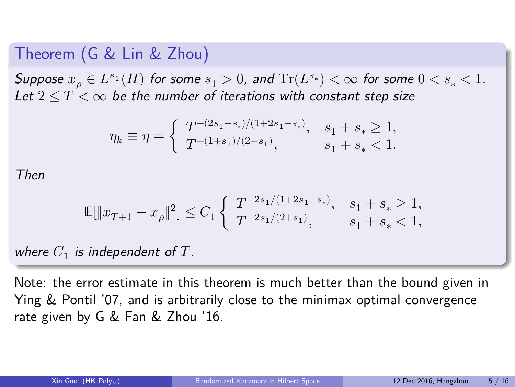#### Theorem (G & Lin & Zhou)

 $Suppose x_{\rho} \in L^{s_1}(H)$  for some  $s_1 > 0$ , and  $\mathrm{Tr}(L^{s_*}) < \infty$  for some  $0 < s_* < 1$ . Let  $2 \leq T < \infty$  be the number of iterations with constant step size

$$
\eta_k\equiv\eta=\left\{\begin{array}{ll}T^{-(2s_1+s_*)/(1+2s_1+s_*)}, & s_1+s_*\geq 1,\\T^{-(1+s_1)/(2+s_1)}, & s_1+s_*<1.\end{array}\right.
$$

*Then*

$$
\mathbb{E}[\|x_{T+1}-x_\rho\|^2]\leq C_1\left\{\begin{array}{ll}T^{-2s_1/(1+2s_1+s_*)}, & s_1+s_*\geq 1,\\T^{-2s_1/(2+s_1)}, & s_1+s_*<1,\end{array}\right.
$$

where  $C_1$  is independent of  $T$ .

Note: the error estimate in this theorem is much better than the bound given in Ying & Pontil '07, and is arbitrarily close to the minimax optimal convergence rate given by G & Fan & Zhou '16.

 $12$  Dec 2016, Hangzhou  $15 / 16$